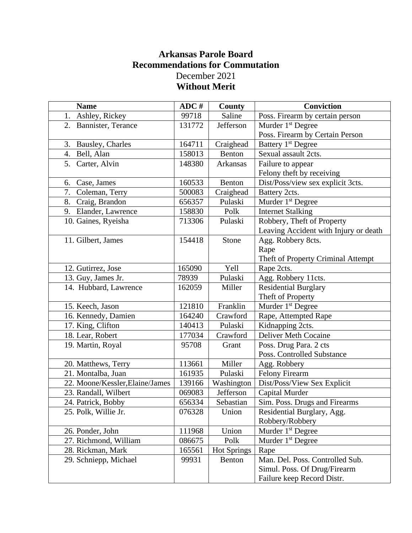## **Arkansas Parole Board Recommendations for Commutation** December 2021 **Without Merit**

| <b>Name</b>                     | ADC #  | County             | <b>Conviction</b>                     |
|---------------------------------|--------|--------------------|---------------------------------------|
| 1. Ashley, Rickey               | 99718  | Saline             | Poss. Firearm by certain person       |
| 2. Bannister, Terance           | 131772 | Jefferson          | Murder $1st$ Degree                   |
|                                 |        |                    | Poss. Firearm by Certain Person       |
| 3. Bausley, Charles             | 164711 | Craighead          | Battery 1 <sup>st</sup> Degree        |
| 4. Bell, Alan                   | 158013 | Benton             | Sexual assault 2cts.                  |
| 5. Carter, Alvin                | 148380 | Arkansas           | Failure to appear                     |
|                                 |        |                    | Felony theft by receiving             |
| Case, James<br>6.               | 160533 | Benton             | Dist/Poss/view sex explicit 3cts.     |
| 7. Coleman, Terry               | 500083 | Craighead          | Battery 2cts.                         |
| 8. Craig, Brandon               | 656357 | Pulaski            | Murder 1 <sup>st</sup> Degree         |
| 9. Elander, Lawrence            | 158830 | Polk               | <b>Internet Stalking</b>              |
| 10. Gaines, Ryeisha             | 713306 | Pulaski            | Robbery, Theft of Property            |
|                                 |        |                    | Leaving Accident with Injury or death |
| 11. Gilbert, James              | 154418 | Stone              | Agg. Robbery 8cts.                    |
|                                 |        |                    | Rape                                  |
|                                 |        |                    | Theft of Property Criminal Attempt    |
| 12. Gutirrez, Jose              | 165090 | Yell               | Rape 2cts.                            |
| 13. Guy, James Jr.              | 78939  | Pulaski            | Agg. Robbery 11cts.                   |
| 14. Hubbard, Lawrence           | 162059 | Miller             | <b>Residential Burglary</b>           |
|                                 |        |                    | Theft of Property                     |
| 15. Keech, Jason                | 121810 | Franklin           | Murder 1 <sup>st</sup> Degree         |
| 16. Kennedy, Damien             | 164240 | Crawford           | Rape, Attempted Rape                  |
| 17. King, Clifton               | 140413 | Pulaski            | Kidnapping 2cts.                      |
| 18. Lear, Robert                | 177034 | Crawford           | <b>Deliver Meth Cocaine</b>           |
| 19. Martin, Royal               | 95708  | Grant              | Poss. Drug Para. 2 cts                |
|                                 |        |                    | Poss. Controlled Substance            |
| 20. Matthews, Terry             | 113661 | Miller             | Agg. Robbery                          |
| 21. Montalba, Juan              | 161935 | Pulaski            | <b>Felony Firearm</b>                 |
| 22. Moone/Kessler, Elaine/James | 139166 | Washington         | Dist/Poss/View Sex Explicit           |
| 23. Randall, Wilbert            | 069083 | Jefferson          | Capital Murder                        |
| 24. Patrick, Bobby              | 656334 | Sebastian          | Sim. Poss. Drugs and Firearms         |
| 25. Polk, Willie Jr.            | 076328 | Union              | Residential Burglary, Agg.            |
|                                 |        |                    | Robbery/Robbery                       |
| 26. Ponder, John                | 111968 | Union              | Murder 1 <sup>st</sup> Degree         |
| 27. Richmond, William           | 086675 | Polk               | Murder 1 <sup>st</sup> Degree         |
| 28. Rickman, Mark               | 165561 | <b>Hot Springs</b> | Rape                                  |
| 29. Schniepp, Michael           | 99931  | Benton             | Man. Del. Poss. Controlled Sub.       |
|                                 |        |                    | Simul. Poss. Of Drug/Firearm          |
|                                 |        |                    | Failure keep Record Distr.            |